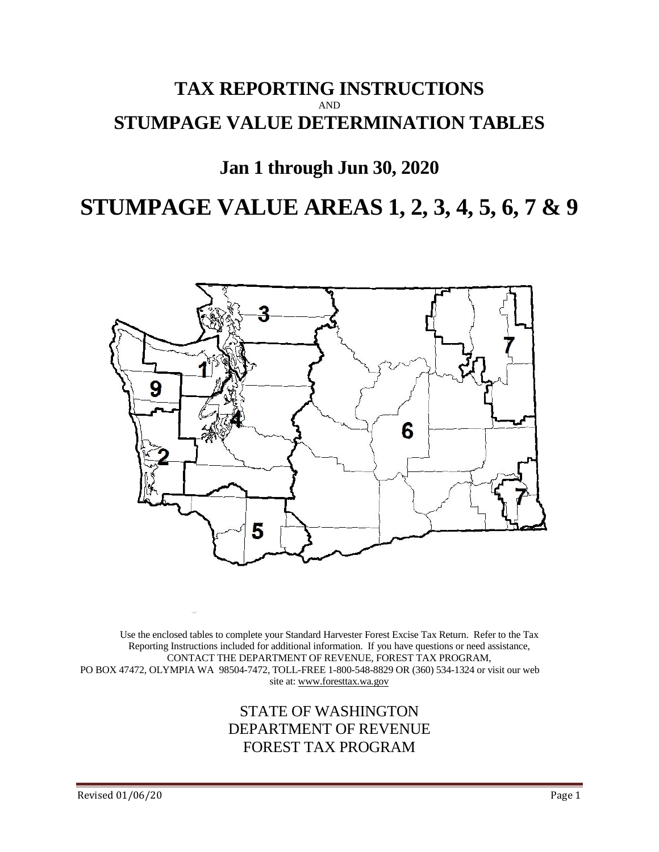# **TAX REPORTING INSTRUCTIONS** AND **STUMPAGE VALUE DETERMINATION TABLES**

# **Jan 1 through Jun 30, 2020**

# **STUMPAGE VALUE AREAS 1, 2, 3, 4, 5, 6, 7 & 9**



Use the enclosed tables to complete your Standard Harvester Forest Excise Tax Return. Refer to the Tax Reporting Instructions included for additional information. If you have questions or need assistance, CONTACT THE DEPARTMENT OF REVENUE, FOREST TAX PROGRAM, PO BOX 47472, OLYMPIA WA 98504-7472, TOLL-FREE 1-800-548-8829 OR (360) 534-1324 or visit our web site at: www.foresttax.wa.gov

# STATE OF WASHINGTON DEPARTMENT OF REVENUE FOREST TAX PROGRAM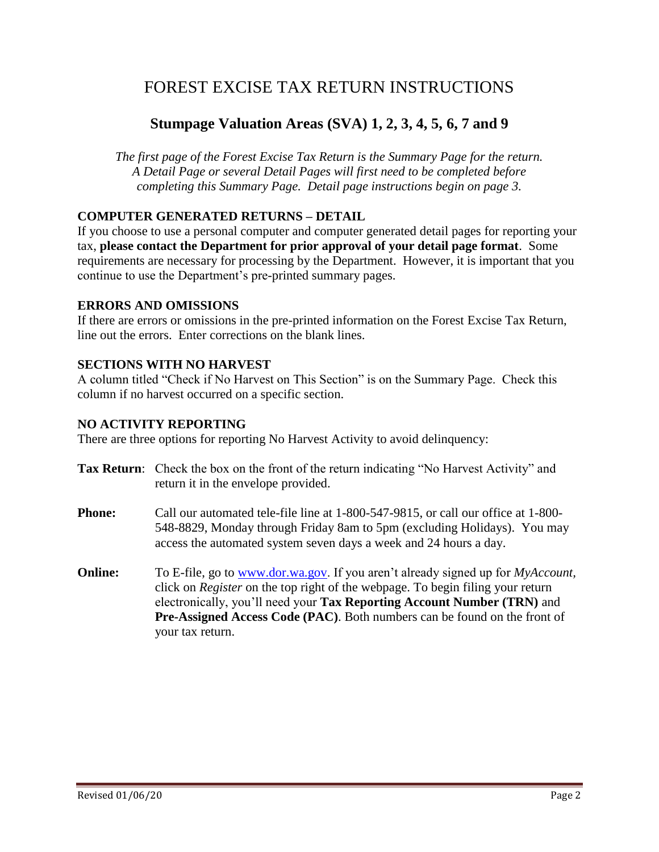# FOREST EXCISE TAX RETURN INSTRUCTIONS

# **Stumpage Valuation Areas (SVA) 1, 2, 3, 4, 5, 6, 7 and 9**

*The first page of the Forest Excise Tax Return is the Summary Page for the return. A Detail Page or several Detail Pages will first need to be completed before completing this Summary Page. Detail page instructions begin on page 3.*

#### **COMPUTER GENERATED RETURNS – DETAIL**

If you choose to use a personal computer and computer generated detail pages for reporting your tax, **please contact the Department for prior approval of your detail page format**. Some requirements are necessary for processing by the Department. However, it is important that you continue to use the Department's pre-printed summary pages.

#### **ERRORS AND OMISSIONS**

If there are errors or omissions in the pre-printed information on the Forest Excise Tax Return, line out the errors. Enter corrections on the blank lines.

#### **SECTIONS WITH NO HARVEST**

A column titled "Check if No Harvest on This Section" is on the Summary Page. Check this column if no harvest occurred on a specific section.

#### **NO ACTIVITY REPORTING**

There are three options for reporting No Harvest Activity to avoid delinquency:

- **Tax Return**: Check the box on the front of the return indicating "No Harvest Activity" and return it in the envelope provided.
- **Phone:** Call our automated tele-file line at 1-800-547-9815, or call our office at 1-800-548-8829, Monday through Friday 8am to 5pm (excluding Holidays). You may access the automated system seven days a week and 24 hours a day.
- **Online:** To E-file, go to [www.dor.wa.gov.](http://www.dor.wa.gov/) If you aren't already signed up for *MyAccount,*  click on *Register* on the top right of the webpage. To begin filing your return electronically, you'll need your **Tax Reporting Account Number (TRN)** and **Pre-Assigned Access Code (PAC)**. Both numbers can be found on the front of your tax return.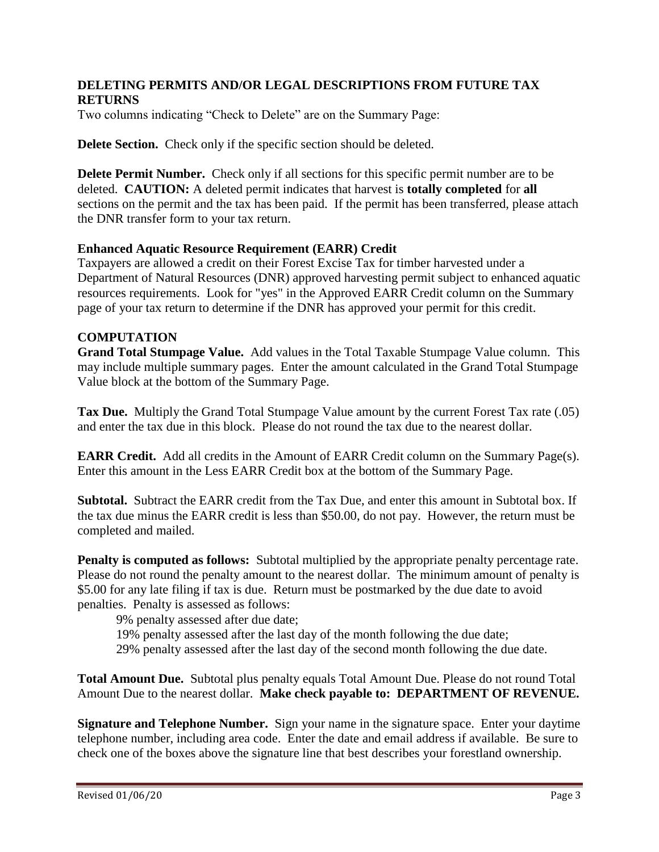#### **DELETING PERMITS AND/OR LEGAL DESCRIPTIONS FROM FUTURE TAX RETURNS**

Two columns indicating "Check to Delete" are on the Summary Page:

**Delete Section.** Check only if the specific section should be deleted.

**Delete Permit Number.** Check only if all sections for this specific permit number are to be deleted. **CAUTION:** A deleted permit indicates that harvest is **totally completed** for **all**  sections on the permit and the tax has been paid. If the permit has been transferred, please attach the DNR transfer form to your tax return.

#### **Enhanced Aquatic Resource Requirement (EARR) Credit**

Taxpayers are allowed a credit on their Forest Excise Tax for timber harvested under a Department of Natural Resources (DNR) approved harvesting permit subject to enhanced aquatic resources requirements. Look for "yes" in the Approved EARR Credit column on the Summary page of your tax return to determine if the DNR has approved your permit for this credit.

#### **COMPUTATION**

**Grand Total Stumpage Value.** Add values in the Total Taxable Stumpage Value column. This may include multiple summary pages. Enter the amount calculated in the Grand Total Stumpage Value block at the bottom of the Summary Page.

**Tax Due.** Multiply the Grand Total Stumpage Value amount by the current Forest Tax rate (.05) and enter the tax due in this block. Please do not round the tax due to the nearest dollar.

**EARR Credit.** Add all credits in the Amount of EARR Credit column on the Summary Page(s). Enter this amount in the Less EARR Credit box at the bottom of the Summary Page.

**Subtotal.** Subtract the EARR credit from the Tax Due, and enter this amount in Subtotal box. If the tax due minus the EARR credit is less than \$50.00, do not pay. However, the return must be completed and mailed.

**Penalty is computed as follows:** Subtotal multiplied by the appropriate penalty percentage rate. Please do not round the penalty amount to the nearest dollar. The minimum amount of penalty is \$5.00 for any late filing if tax is due. Return must be postmarked by the due date to avoid penalties. Penalty is assessed as follows:

9% penalty assessed after due date;

19% penalty assessed after the last day of the month following the due date;

29% penalty assessed after the last day of the second month following the due date.

**Total Amount Due.** Subtotal plus penalty equals Total Amount Due. Please do not round Total Amount Due to the nearest dollar. **Make check payable to: DEPARTMENT OF REVENUE.**

**Signature and Telephone Number.** Sign your name in the signature space. Enter your daytime telephone number, including area code. Enter the date and email address if available. Be sure to check one of the boxes above the signature line that best describes your forestland ownership.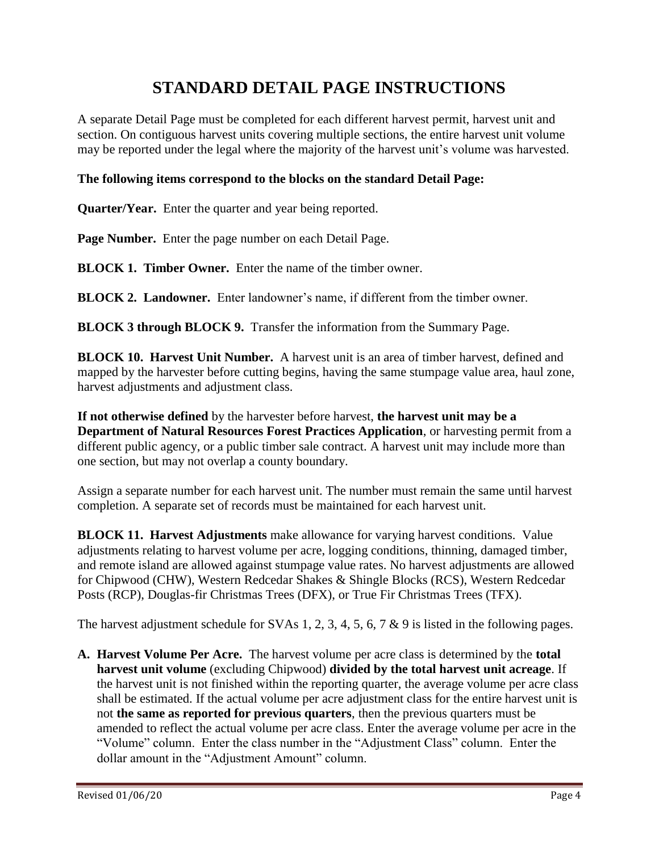# **STANDARD DETAIL PAGE INSTRUCTIONS**

A separate Detail Page must be completed for each different harvest permit, harvest unit and section. On contiguous harvest units covering multiple sections, the entire harvest unit volume may be reported under the legal where the majority of the harvest unit's volume was harvested.

#### **The following items correspond to the blocks on the standard Detail Page:**

**Quarter/Year.** Enter the quarter and year being reported.

**Page Number.** Enter the page number on each Detail Page.

**BLOCK 1. Timber Owner.** Enter the name of the timber owner.

**BLOCK 2. Landowner.** Enter landowner's name, if different from the timber owner.

**BLOCK 3 through BLOCK 9.** Transfer the information from the Summary Page.

**BLOCK 10. Harvest Unit Number.** A harvest unit is an area of timber harvest, defined and mapped by the harvester before cutting begins, having the same stumpage value area, haul zone, harvest adjustments and adjustment class.

**If not otherwise defined** by the harvester before harvest, **the harvest unit may be a Department of Natural Resources Forest Practices Application**, or harvesting permit from a different public agency, or a public timber sale contract. A harvest unit may include more than one section, but may not overlap a county boundary.

Assign a separate number for each harvest unit. The number must remain the same until harvest completion. A separate set of records must be maintained for each harvest unit.

**BLOCK 11. Harvest Adjustments** make allowance for varying harvest conditions. Value adjustments relating to harvest volume per acre, logging conditions, thinning, damaged timber, and remote island are allowed against stumpage value rates. No harvest adjustments are allowed for Chipwood (CHW), Western Redcedar Shakes & Shingle Blocks (RCS), Western Redcedar Posts (RCP), Douglas-fir Christmas Trees (DFX), or True Fir Christmas Trees (TFX).

The harvest adjustment schedule for SVAs 1, 2, 3, 4, 5, 6, 7 & 9 is listed in the following pages.

**A. Harvest Volume Per Acre.** The harvest volume per acre class is determined by the **total harvest unit volume** (excluding Chipwood) **divided by the total harvest unit acreage**. If the harvest unit is not finished within the reporting quarter, the average volume per acre class shall be estimated. If the actual volume per acre adjustment class for the entire harvest unit is not **the same as reported for previous quarters**, then the previous quarters must be amended to reflect the actual volume per acre class. Enter the average volume per acre in the "Volume" column. Enter the class number in the "Adjustment Class" column. Enter the dollar amount in the "Adjustment Amount" column.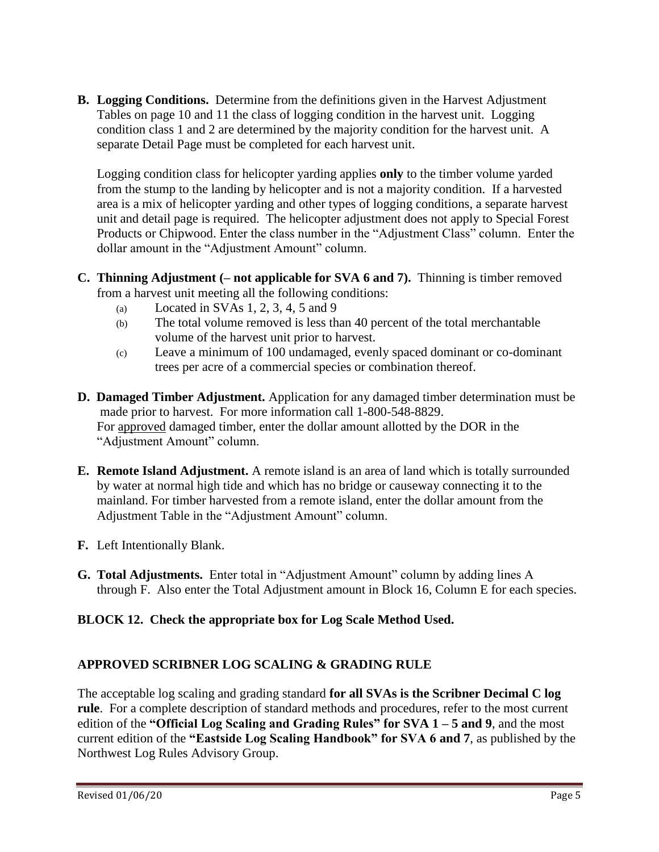**B. Logging Conditions.** Determine from the definitions given in the Harvest Adjustment Tables on page 10 and 11 the class of logging condition in the harvest unit. Logging condition class 1 and 2 are determined by the majority condition for the harvest unit. A separate Detail Page must be completed for each harvest unit.

Logging condition class for helicopter yarding applies **only** to the timber volume yarded from the stump to the landing by helicopter and is not a majority condition. If a harvested area is a mix of helicopter yarding and other types of logging conditions, a separate harvest unit and detail page is required. The helicopter adjustment does not apply to Special Forest Products or Chipwood. Enter the class number in the "Adjustment Class" column. Enter the dollar amount in the "Adjustment Amount" column.

- **C. Thinning Adjustment (– not applicable for SVA 6 and 7).** Thinning is timber removed from a harvest unit meeting all the following conditions:
	- (a) Located in SVAs  $1, 2, 3, 4, 5$  and  $9$
	- (b) The total volume removed is less than 40 percent of the total merchantable volume of the harvest unit prior to harvest.
	- (c) Leave a minimum of 100 undamaged, evenly spaced dominant or co-dominant trees per acre of a commercial species or combination thereof.
- **D. Damaged Timber Adjustment.** Application for any damaged timber determination must be made prior to harvest. For more information call 1-800-548-8829. For approved damaged timber, enter the dollar amount allotted by the DOR in the "Adjustment Amount" column.
- **E. Remote Island Adjustment.** A remote island is an area of land which is totally surrounded by water at normal high tide and which has no bridge or causeway connecting it to the mainland. For timber harvested from a remote island, enter the dollar amount from the Adjustment Table in the "Adjustment Amount" column.
- **F.** Left Intentionally Blank.
- **G. Total Adjustments.** Enter total in "Adjustment Amount" column by adding lines A through F. Also enter the Total Adjustment amount in Block 16, Column E for each species.

### **BLOCK 12. Check the appropriate box for Log Scale Method Used.**

### **APPROVED SCRIBNER LOG SCALING & GRADING RULE**

The acceptable log scaling and grading standard **for all SVAs is the Scribner Decimal C log rule**. For a complete description of standard methods and procedures, refer to the most current edition of the **"Official Log Scaling and Grading Rules" for SVA 1 – 5 and 9**, and the most current edition of the **"Eastside Log Scaling Handbook" for SVA 6 and 7**, as published by the Northwest Log Rules Advisory Group.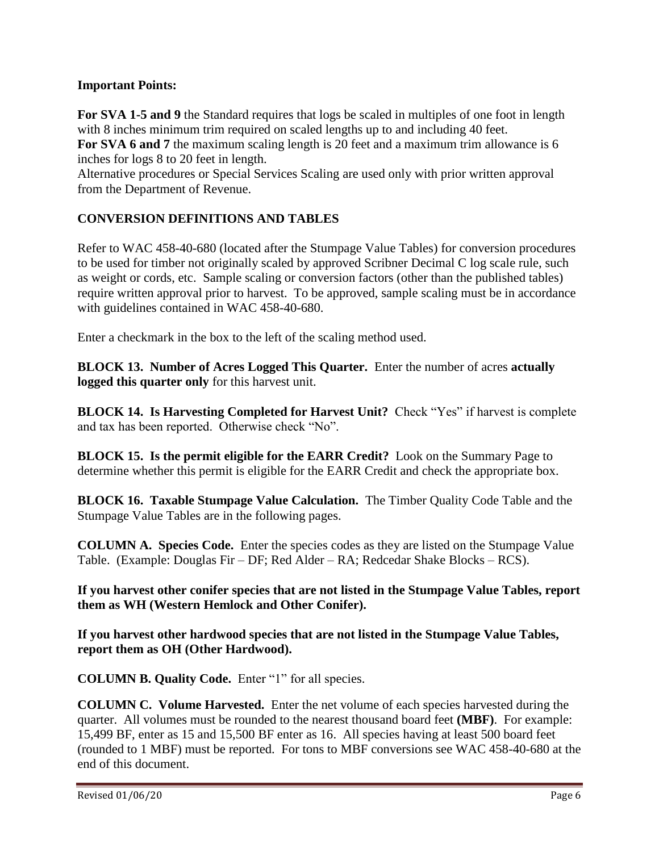#### **Important Points:**

**For SVA 1-5 and 9** the Standard requires that logs be scaled in multiples of one foot in length with 8 inches minimum trim required on scaled lengths up to and including 40 feet.

**For SVA 6 and 7** the maximum scaling length is 20 feet and a maximum trim allowance is 6 inches for logs 8 to 20 feet in length.

Alternative procedures or Special Services Scaling are used only with prior written approval from the Department of Revenue.

#### **CONVERSION DEFINITIONS AND TABLES**

Refer to WAC 458-40-680 (located after the Stumpage Value Tables) for conversion procedures to be used for timber not originally scaled by approved Scribner Decimal C log scale rule, such as weight or cords, etc. Sample scaling or conversion factors (other than the published tables) require written approval prior to harvest. To be approved, sample scaling must be in accordance with guidelines contained in WAC 458-40-680.

Enter a checkmark in the box to the left of the scaling method used.

**BLOCK 13. Number of Acres Logged This Quarter.** Enter the number of acres **actually logged this quarter only** for this harvest unit.

**BLOCK 14. Is Harvesting Completed for Harvest Unit?** Check "Yes" if harvest is complete and tax has been reported. Otherwise check "No".

**BLOCK 15. Is the permit eligible for the EARR Credit?** Look on the Summary Page to determine whether this permit is eligible for the EARR Credit and check the appropriate box.

**BLOCK 16. Taxable Stumpage Value Calculation.** The Timber Quality Code Table and the Stumpage Value Tables are in the following pages.

**COLUMN A. Species Code.** Enter the species codes as they are listed on the Stumpage Value Table. (Example: Douglas Fir – DF; Red Alder – RA; Redcedar Shake Blocks – RCS).

**If you harvest other conifer species that are not listed in the Stumpage Value Tables, report them as WH (Western Hemlock and Other Conifer).**

**If you harvest other hardwood species that are not listed in the Stumpage Value Tables, report them as OH (Other Hardwood).**

**COLUMN B. Quality Code.** Enter "1" for all species.

**COLUMN C. Volume Harvested.** Enter the net volume of each species harvested during the quarter. All volumes must be rounded to the nearest thousand board feet **(MBF)**. For example: 15,499 BF, enter as 15 and 15,500 BF enter as 16. All species having at least 500 board feet (rounded to 1 MBF) must be reported. For tons to MBF conversions see WAC 458-40-680 at the end of this document.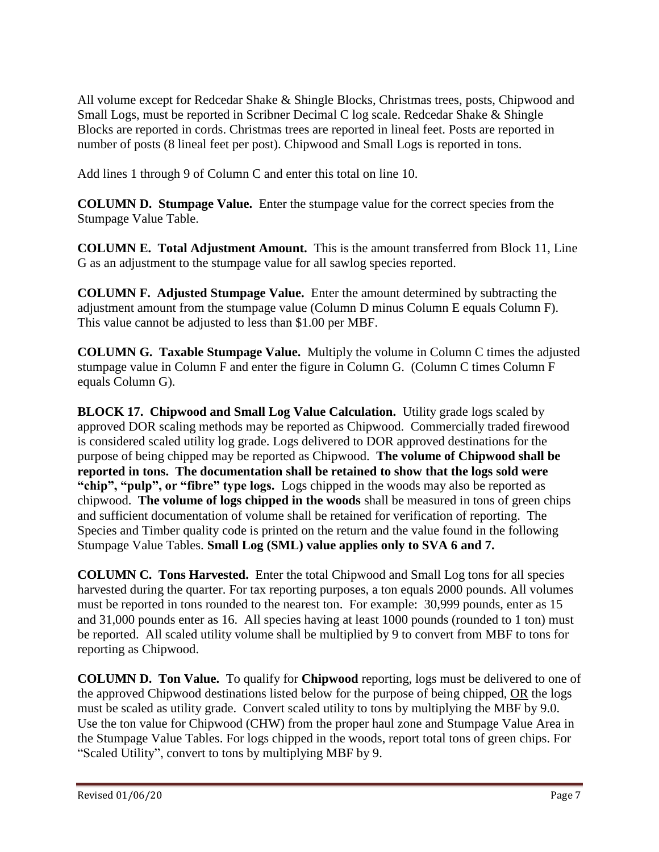All volume except for Redcedar Shake & Shingle Blocks, Christmas trees, posts, Chipwood and Small Logs, must be reported in Scribner Decimal C log scale. Redcedar Shake & Shingle Blocks are reported in cords. Christmas trees are reported in lineal feet. Posts are reported in number of posts (8 lineal feet per post). Chipwood and Small Logs is reported in tons.

Add lines 1 through 9 of Column C and enter this total on line 10.

**COLUMN D. Stumpage Value.** Enter the stumpage value for the correct species from the Stumpage Value Table.

**COLUMN E. Total Adjustment Amount.** This is the amount transferred from Block 11, Line G as an adjustment to the stumpage value for all sawlog species reported.

**COLUMN F. Adjusted Stumpage Value.** Enter the amount determined by subtracting the adjustment amount from the stumpage value (Column D minus Column E equals Column F). This value cannot be adjusted to less than \$1.00 per MBF.

**COLUMN G. Taxable Stumpage Value.** Multiply the volume in Column C times the adjusted stumpage value in Column F and enter the figure in Column G. (Column C times Column F equals Column G).

**BLOCK 17. Chipwood and Small Log Value Calculation.** Utility grade logs scaled by approved DOR scaling methods may be reported as Chipwood. Commercially traded firewood is considered scaled utility log grade. Logs delivered to DOR approved destinations for the purpose of being chipped may be reported as Chipwood. **The volume of Chipwood shall be reported in tons. The documentation shall be retained to show that the logs sold were "chip", "pulp", or "fibre" type logs.** Logs chipped in the woods may also be reported as chipwood. **The volume of logs chipped in the woods** shall be measured in tons of green chips and sufficient documentation of volume shall be retained for verification of reporting. The Species and Timber quality code is printed on the return and the value found in the following Stumpage Value Tables. **Small Log (SML) value applies only to SVA 6 and 7.**

**COLUMN C. Tons Harvested.** Enter the total Chipwood and Small Log tons for all species harvested during the quarter. For tax reporting purposes, a ton equals 2000 pounds. All volumes must be reported in tons rounded to the nearest ton. For example: 30,999 pounds, enter as 15 and 31,000 pounds enter as 16. All species having at least 1000 pounds (rounded to 1 ton) must be reported. All scaled utility volume shall be multiplied by 9 to convert from MBF to tons for reporting as Chipwood.

**COLUMN D. Ton Value.** To qualify for **Chipwood** reporting, logs must be delivered to one of the approved Chipwood destinations listed below for the purpose of being chipped, OR the logs must be scaled as utility grade. Convert scaled utility to tons by multiplying the MBF by 9.0. Use the ton value for Chipwood (CHW) from the proper haul zone and Stumpage Value Area in the Stumpage Value Tables. For logs chipped in the woods, report total tons of green chips. For "Scaled Utility", convert to tons by multiplying MBF by 9.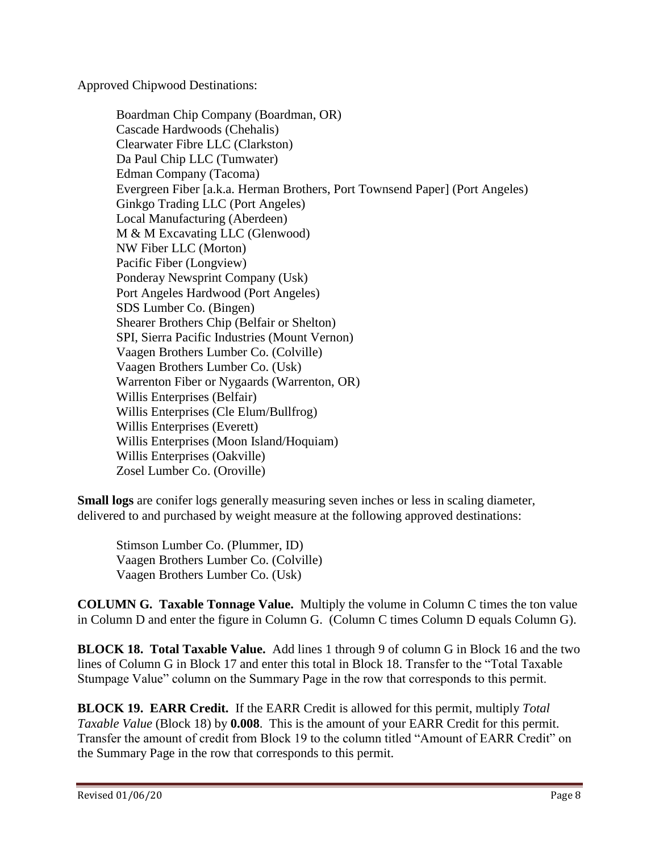Approved Chipwood Destinations:

Boardman Chip Company (Boardman, OR) Cascade Hardwoods (Chehalis) Clearwater Fibre LLC (Clarkston) Da Paul Chip LLC (Tumwater) Edman Company (Tacoma) Evergreen Fiber [a.k.a. Herman Brothers, Port Townsend Paper] (Port Angeles) Ginkgo Trading LLC (Port Angeles) Local Manufacturing (Aberdeen) M & M Excavating LLC (Glenwood) NW Fiber LLC (Morton) Pacific Fiber (Longview) Ponderay Newsprint Company (Usk) Port Angeles Hardwood (Port Angeles) SDS Lumber Co. (Bingen) Shearer Brothers Chip (Belfair or Shelton) SPI, Sierra Pacific Industries (Mount Vernon) Vaagen Brothers Lumber Co. (Colville) Vaagen Brothers Lumber Co. (Usk) Warrenton Fiber or Nygaards (Warrenton, OR) Willis Enterprises (Belfair) Willis Enterprises (Cle Elum/Bullfrog) Willis Enterprises (Everett) Willis Enterprises (Moon Island/Hoquiam) Willis Enterprises (Oakville) Zosel Lumber Co. (Oroville)

**Small logs** are conifer logs generally measuring seven inches or less in scaling diameter, delivered to and purchased by weight measure at the following approved destinations:

Stimson Lumber Co. (Plummer, ID) Vaagen Brothers Lumber Co. (Colville) Vaagen Brothers Lumber Co. (Usk)

**COLUMN G. Taxable Tonnage Value.** Multiply the volume in Column C times the ton value in Column D and enter the figure in Column G. (Column C times Column D equals Column G).

**BLOCK 18. Total Taxable Value.** Add lines 1 through 9 of column G in Block 16 and the two lines of Column G in Block 17 and enter this total in Block 18. Transfer to the "Total Taxable Stumpage Value" column on the Summary Page in the row that corresponds to this permit.

**BLOCK 19. EARR Credit.** If the EARR Credit is allowed for this permit, multiply *Total Taxable Value* (Block 18) by **0.008**. This is the amount of your EARR Credit for this permit. Transfer the amount of credit from Block 19 to the column titled "Amount of EARR Credit" on the Summary Page in the row that corresponds to this permit.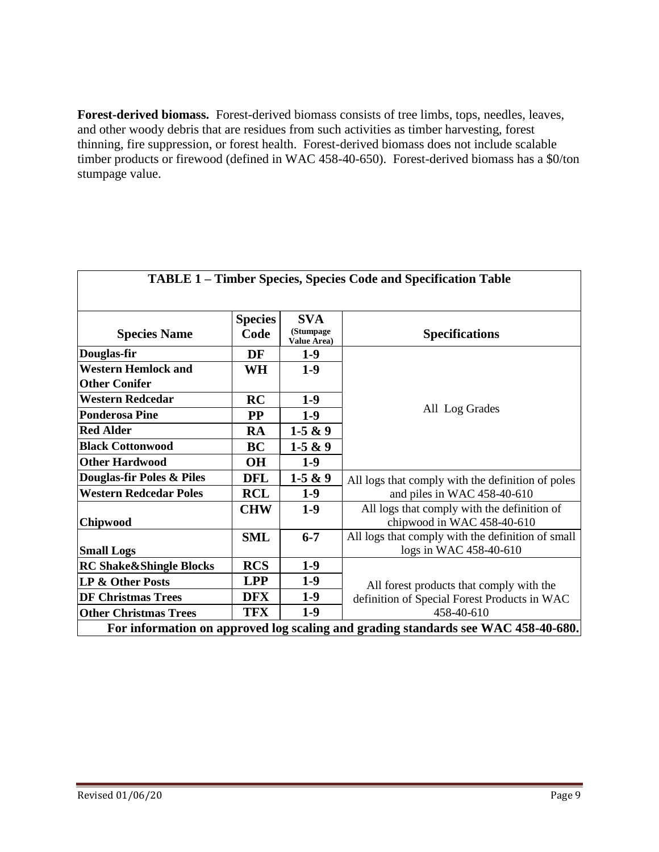**Forest-derived biomass.** Forest-derived biomass consists of tree limbs, tops, needles, leaves, and other woody debris that are residues from such activities as timber harvesting, forest thinning, fire suppression, or forest health. Forest-derived biomass does not include scalable timber products or firewood (defined in WAC 458-40-650). Forest-derived biomass has a \$0/ton stumpage value.

| <b>TABLE 1 - Timber Species, Species Code and Specification Table</b>             |                |                                 |                                                   |  |
|-----------------------------------------------------------------------------------|----------------|---------------------------------|---------------------------------------------------|--|
|                                                                                   |                |                                 |                                                   |  |
|                                                                                   | <b>Species</b> | <b>SVA</b>                      |                                                   |  |
| <b>Species Name</b>                                                               | Code           | (Stumpage<br><b>Value Area)</b> | <b>Specifications</b>                             |  |
| Douglas-fir                                                                       | DF             | $1-9$                           |                                                   |  |
| <b>Western Hemlock and</b>                                                        | WH             | $1-9$                           |                                                   |  |
| <b>Other Conifer</b>                                                              |                |                                 |                                                   |  |
| <b>Western Redcedar</b>                                                           | RC             | $1-9$                           |                                                   |  |
| <b>Ponderosa Pine</b>                                                             | $\bf PP$       | $1-9$                           | All Log Grades                                    |  |
| <b>Red Alder</b>                                                                  | <b>RA</b>      | $1-5 & 9$                       |                                                   |  |
| <b>Black Cottonwood</b>                                                           | <b>BC</b>      | $1-5 & 9$                       |                                                   |  |
| <b>Other Hardwood</b>                                                             | <b>OH</b>      | $1-9$                           |                                                   |  |
| Douglas-fir Poles & Piles                                                         | <b>DFL</b>     | $1-5 & 9$                       | All logs that comply with the definition of poles |  |
| <b>Western Redcedar Poles</b>                                                     | <b>RCL</b>     | $1-9$                           | and piles in WAC 458-40-610                       |  |
|                                                                                   | <b>CHW</b>     | $1-9$                           | All logs that comply with the definition of       |  |
| Chipwood                                                                          |                |                                 | chipwood in WAC 458-40-610                        |  |
|                                                                                   | <b>SML</b>     | $6 - 7$                         | All logs that comply with the definition of small |  |
| <b>Small Logs</b>                                                                 |                |                                 | logs in WAC 458-40-610                            |  |
| <b>RC Shake&amp;Shingle Blocks</b>                                                | <b>RCS</b>     | $1-9$                           |                                                   |  |
| LP & Other Posts                                                                  | <b>LPP</b>     | $1-9$                           | All forest products that comply with the          |  |
| <b>DF Christmas Trees</b>                                                         | <b>DFX</b>     | $1-9$                           | definition of Special Forest Products in WAC      |  |
| <b>Other Christmas Trees</b>                                                      | <b>TFX</b>     | $1-9$                           | 458-40-610                                        |  |
| For information on approved log scaling and grading standards see WAC 458-40-680. |                |                                 |                                                   |  |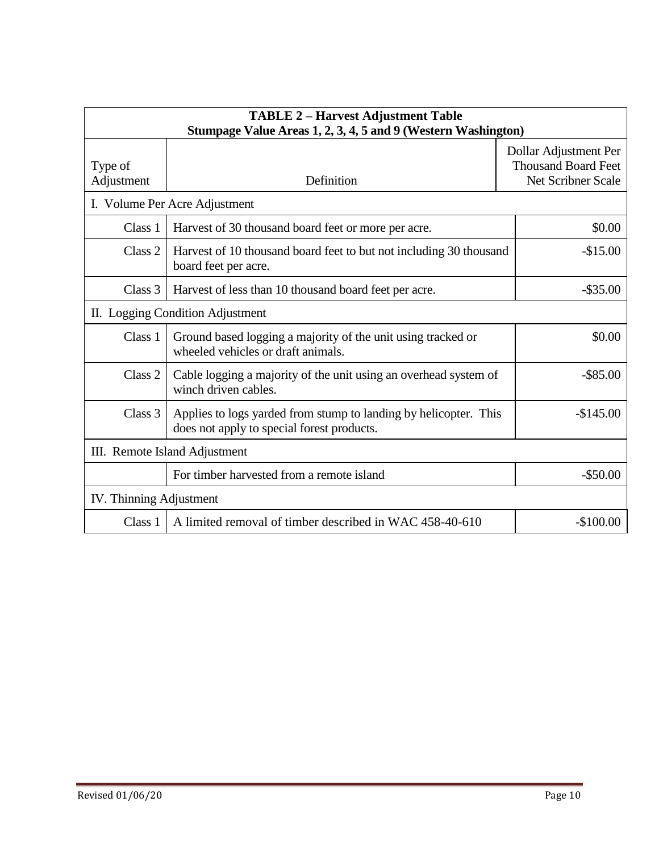| <b>TABLE 2 - Harvest Adjustment Table</b><br>Stumpage Value Areas 1, 2, 3, 4, 5 and 9 (Western Washington) |                                                                                                                              |                                                                           |  |  |
|------------------------------------------------------------------------------------------------------------|------------------------------------------------------------------------------------------------------------------------------|---------------------------------------------------------------------------|--|--|
| Type of<br>Adjustment                                                                                      | Definition                                                                                                                   | Dollar Adjustment Per<br><b>Thousand Board Feet</b><br>Net Scribner Scale |  |  |
|                                                                                                            | I. Volume Per Acre Adjustment                                                                                                |                                                                           |  |  |
| Class 1                                                                                                    | Harvest of 30 thousand board feet or more per acre.<br>\$0.00                                                                |                                                                           |  |  |
| Class 2                                                                                                    | Harvest of 10 thousand board feet to but not including 30 thousand<br>$-$15.00$<br>board feet per acre.                      |                                                                           |  |  |
| Class 3                                                                                                    | Harvest of less than 10 thousand board feet per acre.                                                                        |                                                                           |  |  |
|                                                                                                            | II. Logging Condition Adjustment                                                                                             |                                                                           |  |  |
| Class 1                                                                                                    | Ground based logging a majority of the unit using tracked or<br>wheeled vehicles or draft animals.                           | \$0.00                                                                    |  |  |
| Class 2                                                                                                    | Cable logging a majority of the unit using an overhead system of<br>$-$ \$85.00<br>winch driven cables.                      |                                                                           |  |  |
| Class 3                                                                                                    | Applies to logs yarded from stump to landing by helicopter. This<br>$-$145.00$<br>does not apply to special forest products. |                                                                           |  |  |
| III. Remote Island Adjustment                                                                              |                                                                                                                              |                                                                           |  |  |
|                                                                                                            | For timber harvested from a remote island<br>$-$ \$50.00                                                                     |                                                                           |  |  |
| IV. Thinning Adjustment                                                                                    |                                                                                                                              |                                                                           |  |  |
| Class 1                                                                                                    | A limited removal of timber described in WAC 458-40-610                                                                      | $-$100.00$                                                                |  |  |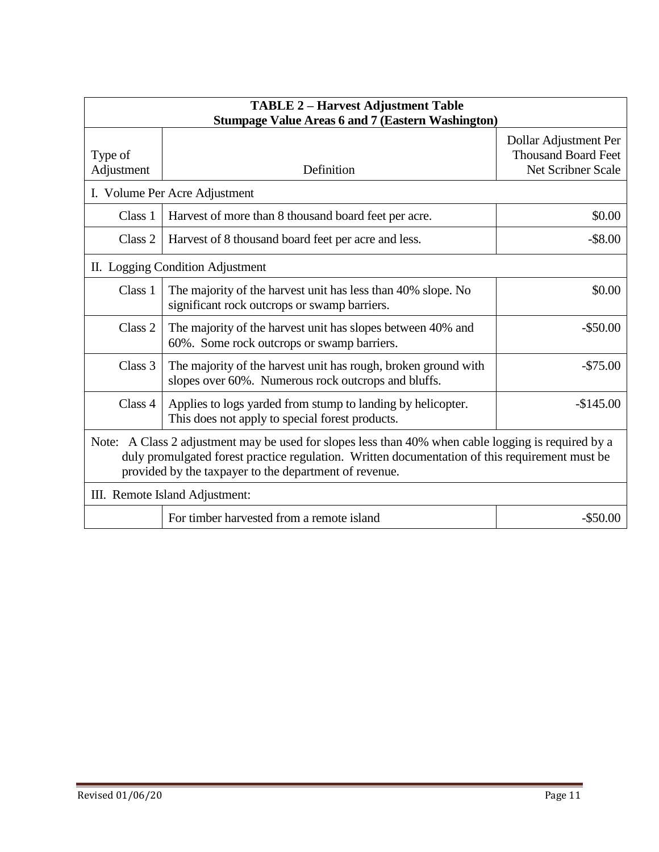| <b>TABLE 2 - Harvest Adjustment Table</b><br><b>Stumpage Value Areas 6 and 7 (Eastern Washington)</b>                                                                                                                                                           |                                                                                                                                     |                                                                           |  |  |
|-----------------------------------------------------------------------------------------------------------------------------------------------------------------------------------------------------------------------------------------------------------------|-------------------------------------------------------------------------------------------------------------------------------------|---------------------------------------------------------------------------|--|--|
| Type of<br>Adjustment                                                                                                                                                                                                                                           | Definition                                                                                                                          | Dollar Adjustment Per<br><b>Thousand Board Feet</b><br>Net Scribner Scale |  |  |
|                                                                                                                                                                                                                                                                 | I. Volume Per Acre Adjustment                                                                                                       |                                                                           |  |  |
| Class 1                                                                                                                                                                                                                                                         | Harvest of more than 8 thousand board feet per acre.                                                                                | \$0.00                                                                    |  |  |
| Class 2                                                                                                                                                                                                                                                         | Harvest of 8 thousand board feet per acre and less.                                                                                 | $-$ \$8.00                                                                |  |  |
|                                                                                                                                                                                                                                                                 | II. Logging Condition Adjustment                                                                                                    |                                                                           |  |  |
| Class 1                                                                                                                                                                                                                                                         | The majority of the harvest unit has less than 40% slope. No<br>\$0.00<br>significant rock outcrops or swamp barriers.              |                                                                           |  |  |
| Class 2                                                                                                                                                                                                                                                         | The majority of the harvest unit has slopes between 40% and<br>$-$ \$50.00<br>60%. Some rock outcrops or swamp barriers.            |                                                                           |  |  |
| Class 3                                                                                                                                                                                                                                                         | The majority of the harvest unit has rough, broken ground with<br>$-\$75.00$<br>slopes over 60%. Numerous rock outcrops and bluffs. |                                                                           |  |  |
| Class 4                                                                                                                                                                                                                                                         | Applies to logs yarded from stump to landing by helicopter.<br>This does not apply to special forest products.                      | $-$145.00$                                                                |  |  |
| Note: A Class 2 adjustment may be used for slopes less than 40% when cable logging is required by a<br>duly promulgated forest practice regulation. Written documentation of this requirement must be<br>provided by the taxpayer to the department of revenue. |                                                                                                                                     |                                                                           |  |  |
| III. Remote Island Adjustment:                                                                                                                                                                                                                                  |                                                                                                                                     |                                                                           |  |  |
| For timber harvested from a remote island<br>$-$ \$50.00                                                                                                                                                                                                        |                                                                                                                                     |                                                                           |  |  |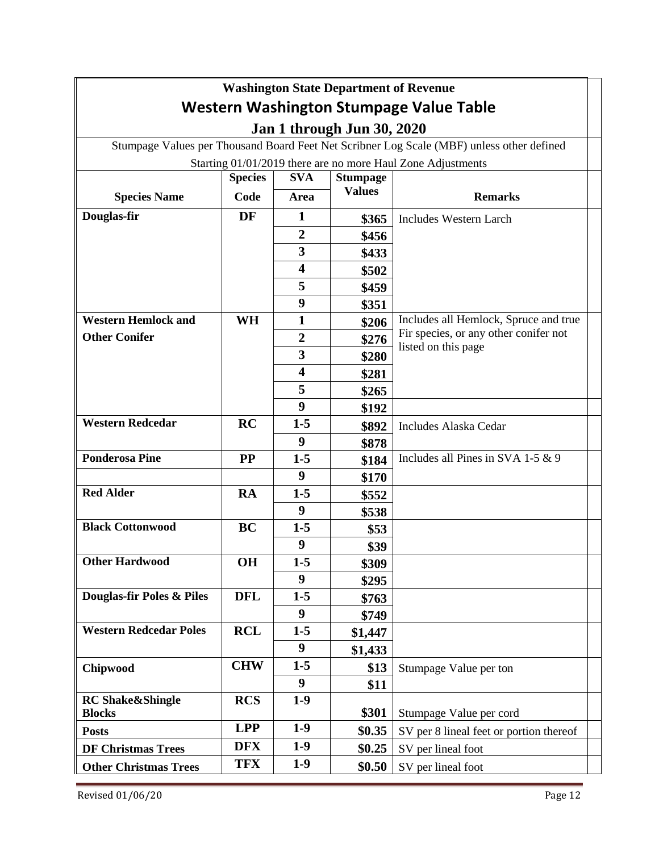| <b>Washington State Department of Revenue</b>                                             |                |                         |                 |                                                              |  |
|-------------------------------------------------------------------------------------------|----------------|-------------------------|-----------------|--------------------------------------------------------------|--|
| Western Washington Stumpage Value Table                                                   |                |                         |                 |                                                              |  |
| <b>Jan 1 through Jun 30, 2020</b>                                                         |                |                         |                 |                                                              |  |
| Stumpage Values per Thousand Board Feet Net Scribner Log Scale (MBF) unless other defined |                |                         |                 |                                                              |  |
| Starting 01/01/2019 there are no more Haul Zone Adjustments                               |                |                         |                 |                                                              |  |
|                                                                                           | <b>Species</b> | <b>SVA</b>              | <b>Stumpage</b> |                                                              |  |
| <b>Species Name</b>                                                                       | Code           | Area                    | <b>Values</b>   | <b>Remarks</b>                                               |  |
| Douglas-fir                                                                               | DF             | 1                       | \$365           | <b>Includes Western Larch</b>                                |  |
|                                                                                           |                | $\overline{2}$          | \$456           |                                                              |  |
|                                                                                           |                | 3                       | \$433           |                                                              |  |
|                                                                                           |                | $\overline{\mathbf{4}}$ | \$502           |                                                              |  |
|                                                                                           |                | 5                       | \$459           |                                                              |  |
|                                                                                           |                | 9                       | \$351           |                                                              |  |
| <b>Western Hemlock and</b>                                                                | <b>WH</b>      | 1                       | \$206           | Includes all Hemlock, Spruce and true                        |  |
| <b>Other Conifer</b>                                                                      |                | $\boldsymbol{2}$        | \$276           | Fir species, or any other conifer not<br>listed on this page |  |
|                                                                                           |                | 3                       | \$280           |                                                              |  |
|                                                                                           |                | 4                       | \$281           |                                                              |  |
|                                                                                           |                | 5                       | \$265           |                                                              |  |
|                                                                                           |                | 9                       | \$192           |                                                              |  |
| <b>Western Redcedar</b>                                                                   | RC             | $1 - 5$                 | \$892           | <b>Includes Alaska Cedar</b>                                 |  |
|                                                                                           |                | 9                       | \$878           |                                                              |  |
| <b>Ponderosa Pine</b>                                                                     | <b>PP</b>      | $1 - 5$                 | \$184           | Includes all Pines in SVA 1-5 & 9                            |  |
|                                                                                           |                | 9                       | \$170           |                                                              |  |
| <b>Red Alder</b>                                                                          | RA             | $1-5$                   | \$552           |                                                              |  |
|                                                                                           |                | 9                       | \$538           |                                                              |  |
| <b>Black Cottonwood</b>                                                                   | <b>BC</b>      | $1-5$                   | \$53            |                                                              |  |
|                                                                                           |                | 9                       | \$39            |                                                              |  |
| <b>Other Hardwood</b>                                                                     | OH             | $1-5$                   | <b>\$309</b>    |                                                              |  |
|                                                                                           |                | 9                       | \$295           |                                                              |  |
| Douglas-fir Poles & Piles                                                                 | <b>DFL</b>     | $1-5$                   | \$763           |                                                              |  |
|                                                                                           |                | 9                       | \$749           |                                                              |  |
| <b>Western Redcedar Poles</b>                                                             | <b>RCL</b>     | $1-5$                   | \$1,447         |                                                              |  |
|                                                                                           |                | 9                       | \$1,433         |                                                              |  |
| Chipwood                                                                                  | <b>CHW</b>     | $1 - 5$                 | \$13            | Stumpage Value per ton                                       |  |
|                                                                                           |                | 9                       | \$11            |                                                              |  |
| <b>RC Shake&amp;Shingle</b><br><b>Blocks</b>                                              | <b>RCS</b>     | $1-9$                   | \$301           | Stumpage Value per cord                                      |  |
| <b>Posts</b>                                                                              | <b>LPP</b>     | $1-9$                   | \$0.35          | SV per 8 lineal feet or portion thereof                      |  |
| <b>DF Christmas Trees</b>                                                                 | <b>DFX</b>     | $1-9$                   | \$0.25          | SV per lineal foot                                           |  |
| <b>Other Christmas Trees</b>                                                              | <b>TFX</b>     | $1-9$                   | \$0.50          | SV per lineal foot                                           |  |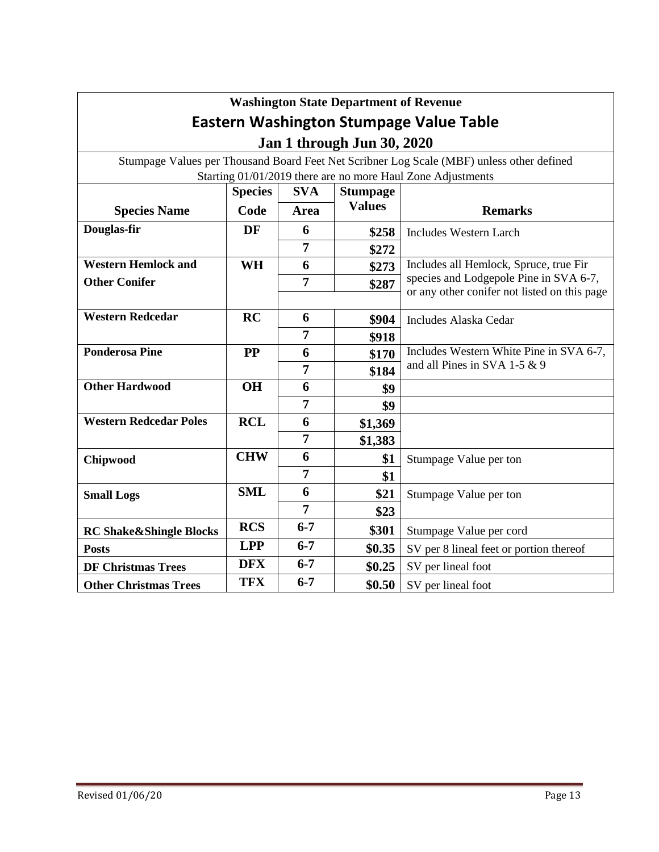| <b>Washington State Department of Revenue</b>               |                |                |                 |                                                                                           |  |
|-------------------------------------------------------------|----------------|----------------|-----------------|-------------------------------------------------------------------------------------------|--|
| <b>Eastern Washington Stumpage Value Table</b>              |                |                |                 |                                                                                           |  |
| <b>Jan 1 through Jun 30, 2020</b>                           |                |                |                 |                                                                                           |  |
|                                                             |                |                |                 | Stumpage Values per Thousand Board Feet Net Scribner Log Scale (MBF) unless other defined |  |
| Starting 01/01/2019 there are no more Haul Zone Adjustments |                |                |                 |                                                                                           |  |
|                                                             | <b>Species</b> | <b>SVA</b>     | <b>Stumpage</b> |                                                                                           |  |
| <b>Species Name</b>                                         | Code           | Area           | <b>Values</b>   | <b>Remarks</b>                                                                            |  |
| Douglas-fir                                                 | DF             | 6              | \$258           | <b>Includes Western Larch</b>                                                             |  |
|                                                             |                | $\overline{7}$ | \$272           |                                                                                           |  |
| <b>Western Hemlock and</b>                                  | WH             | 6              | \$273           | Includes all Hemlock, Spruce, true Fir                                                    |  |
| <b>Other Conifer</b>                                        |                | 7              | \$287           | species and Lodgepole Pine in SVA 6-7,                                                    |  |
|                                                             |                |                |                 | or any other conifer not listed on this page                                              |  |
| <b>Western Redcedar</b>                                     | RC             | 6              | \$904           | <b>Includes Alaska Cedar</b>                                                              |  |
|                                                             |                | 7              | \$918           |                                                                                           |  |
| <b>Ponderosa Pine</b>                                       | <b>PP</b>      | 6              | \$170           | Includes Western White Pine in SVA 6-7,                                                   |  |
|                                                             |                | 7              | \$184           | and all Pines in SVA 1-5 $& 9$                                                            |  |
| <b>Other Hardwood</b>                                       | <b>OH</b>      | 6              | \$9             |                                                                                           |  |
|                                                             |                | $\overline{7}$ | \$9             |                                                                                           |  |
| <b>Western Redcedar Poles</b>                               | <b>RCL</b>     | 6              | \$1,369         |                                                                                           |  |
|                                                             |                | $\overline{7}$ | \$1,383         |                                                                                           |  |
| Chipwood                                                    | <b>CHW</b>     | 6              | \$1             | Stumpage Value per ton                                                                    |  |
|                                                             |                | 7              | \$1             |                                                                                           |  |
| <b>Small Logs</b>                                           | <b>SML</b>     | 6              | \$21            | Stumpage Value per ton                                                                    |  |
|                                                             |                | $\overline{7}$ | \$23            |                                                                                           |  |
| <b>RC Shake&amp;Shingle Blocks</b>                          | <b>RCS</b>     | $6 - 7$        | \$301           | Stumpage Value per cord                                                                   |  |
| <b>Posts</b>                                                | <b>LPP</b>     | $6 - 7$        | \$0.35          | SV per 8 lineal feet or portion thereof                                                   |  |
| <b>DF Christmas Trees</b>                                   | <b>DFX</b>     | $6 - 7$        | \$0.25          | SV per lineal foot                                                                        |  |
| <b>Other Christmas Trees</b>                                | <b>TFX</b>     | $6 - 7$        | \$0.50          | SV per lineal foot                                                                        |  |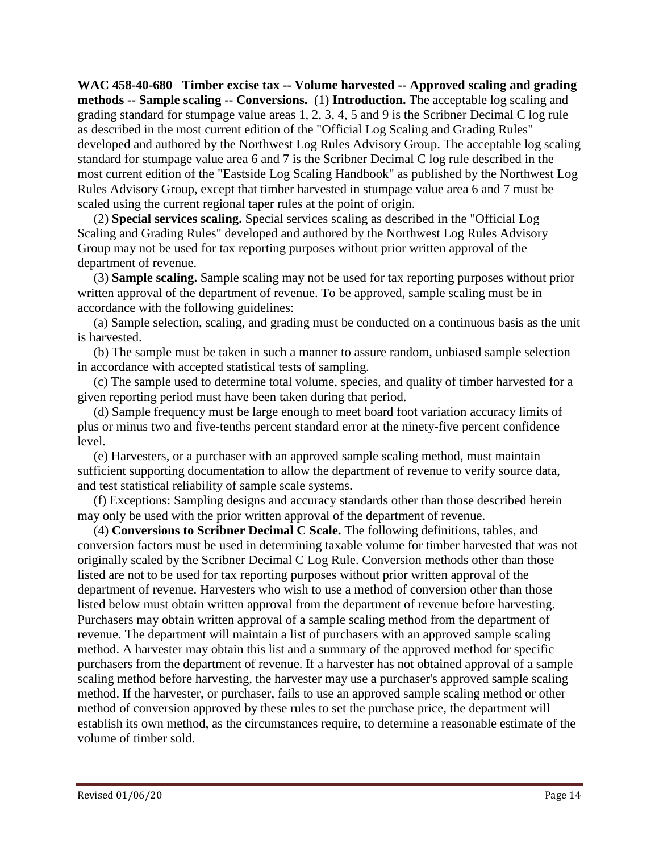**WAC 458-40-680 Timber excise tax -- Volume harvested -- Approved scaling and grading methods -- Sample scaling -- Conversions.** (1) **Introduction.** The acceptable log scaling and grading standard for stumpage value areas 1, 2, 3, 4, 5 and 9 is the Scribner Decimal C log rule as described in the most current edition of the "Official Log Scaling and Grading Rules" developed and authored by the Northwest Log Rules Advisory Group. The acceptable log scaling standard for stumpage value area 6 and 7 is the Scribner Decimal C log rule described in the most current edition of the "Eastside Log Scaling Handbook" as published by the Northwest Log Rules Advisory Group, except that timber harvested in stumpage value area 6 and 7 must be scaled using the current regional taper rules at the point of origin.

 (2) **Special services scaling.** Special services scaling as described in the "Official Log Scaling and Grading Rules" developed and authored by the Northwest Log Rules Advisory Group may not be used for tax reporting purposes without prior written approval of the department of revenue.

 (3) **Sample scaling.** Sample scaling may not be used for tax reporting purposes without prior written approval of the department of revenue. To be approved, sample scaling must be in accordance with the following guidelines:

 (a) Sample selection, scaling, and grading must be conducted on a continuous basis as the unit is harvested.

 (b) The sample must be taken in such a manner to assure random, unbiased sample selection in accordance with accepted statistical tests of sampling.

 (c) The sample used to determine total volume, species, and quality of timber harvested for a given reporting period must have been taken during that period.

 (d) Sample frequency must be large enough to meet board foot variation accuracy limits of plus or minus two and five-tenths percent standard error at the ninety-five percent confidence level.

 (e) Harvesters, or a purchaser with an approved sample scaling method, must maintain sufficient supporting documentation to allow the department of revenue to verify source data, and test statistical reliability of sample scale systems.

 (f) Exceptions: Sampling designs and accuracy standards other than those described herein may only be used with the prior written approval of the department of revenue.

 (4) **Conversions to Scribner Decimal C Scale.** The following definitions, tables, and conversion factors must be used in determining taxable volume for timber harvested that was not originally scaled by the Scribner Decimal C Log Rule. Conversion methods other than those listed are not to be used for tax reporting purposes without prior written approval of the department of revenue. Harvesters who wish to use a method of conversion other than those listed below must obtain written approval from the department of revenue before harvesting. Purchasers may obtain written approval of a sample scaling method from the department of revenue. The department will maintain a list of purchasers with an approved sample scaling method. A harvester may obtain this list and a summary of the approved method for specific purchasers from the department of revenue. If a harvester has not obtained approval of a sample scaling method before harvesting, the harvester may use a purchaser's approved sample scaling method. If the harvester, or purchaser, fails to use an approved sample scaling method or other method of conversion approved by these rules to set the purchase price, the department will establish its own method, as the circumstances require, to determine a reasonable estimate of the volume of timber sold.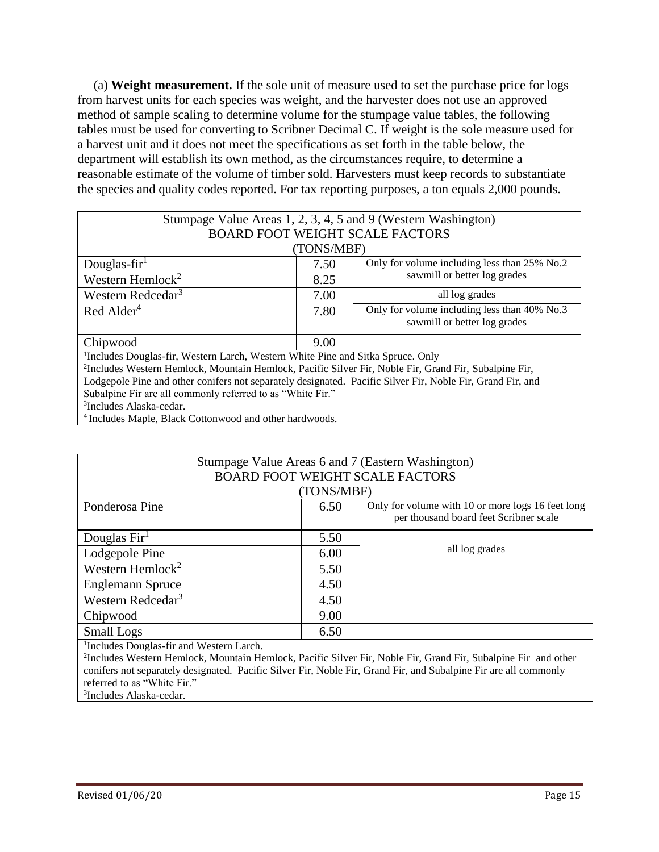(a) **Weight measurement.** If the sole unit of measure used to set the purchase price for logs from harvest units for each species was weight, and the harvester does not use an approved method of sample scaling to determine volume for the stumpage value tables, the following tables must be used for converting to Scribner Decimal C. If weight is the sole measure used for a harvest unit and it does not meet the specifications as set forth in the table below, the department will establish its own method, as the circumstances require, to determine a reasonable estimate of the volume of timber sold. Harvesters must keep records to substantiate the species and quality codes reported. For tax reporting purposes, a ton equals 2,000 pounds.

| Stumpage Value Areas 1, 2, 3, 4, 5 and 9 (Western Washington)                                                     |      |                                              |  |  |
|-------------------------------------------------------------------------------------------------------------------|------|----------------------------------------------|--|--|
| <b>BOARD FOOT WEIGHT SCALE FACTORS</b>                                                                            |      |                                              |  |  |
| (TONS/MBF)                                                                                                        |      |                                              |  |  |
| Douglas-fir $1$                                                                                                   | 7.50 | Only for volume including less than 25% No.2 |  |  |
| Western Hemlock <sup>2</sup>                                                                                      | 8.25 | sawmill or better log grades                 |  |  |
| Western Redcedar <sup>3</sup>                                                                                     | 7.00 | all log grades                               |  |  |
| $Red$ Alder <sup>4</sup>                                                                                          | 7.80 | Only for volume including less than 40% No.3 |  |  |
|                                                                                                                   |      | sawmill or better log grades                 |  |  |
| Chipwood                                                                                                          | 9.00 |                                              |  |  |
| <sup>1</sup> Includes Douglas-fir, Western Larch, Western White Pine and Sitka Spruce. Only                       |      |                                              |  |  |
| <sup>2</sup> Includes Western Hemlock, Mountain Hemlock, Pacific Silver Fir, Noble Fir, Grand Fir, Subalpine Fir, |      |                                              |  |  |
| Lodgepole Pine and other conifers not separately designated. Pacific Silver Fir, Noble Fir, Grand Fir, and        |      |                                              |  |  |
| Subalpine Fir are all commonly referred to as "White Fir."                                                        |      |                                              |  |  |
| <sup>3</sup> Includes Alaska-cedar.                                                                               |      |                                              |  |  |
| <sup>4</sup> Includes Maple, Black Cottonwood and other hardwoods.                                                |      |                                              |  |  |

| Stumpage Value Areas 6 and 7 (Eastern Washington)                                                                                                                                                                                                                                                |      |                                                                                             |  |  |
|--------------------------------------------------------------------------------------------------------------------------------------------------------------------------------------------------------------------------------------------------------------------------------------------------|------|---------------------------------------------------------------------------------------------|--|--|
| <b>BOARD FOOT WEIGHT SCALE FACTORS</b>                                                                                                                                                                                                                                                           |      |                                                                                             |  |  |
| (TONS/MBF)                                                                                                                                                                                                                                                                                       |      |                                                                                             |  |  |
| Ponderosa Pine                                                                                                                                                                                                                                                                                   | 6.50 | Only for volume with 10 or more logs 16 feet long<br>per thousand board feet Scribner scale |  |  |
| Douglas $\text{Fir}^1$                                                                                                                                                                                                                                                                           | 5.50 |                                                                                             |  |  |
| Lodgepole Pine                                                                                                                                                                                                                                                                                   | 6.00 | all log grades                                                                              |  |  |
| Western Hemlock <sup>2</sup>                                                                                                                                                                                                                                                                     | 5.50 |                                                                                             |  |  |
| <b>Englemann Spruce</b>                                                                                                                                                                                                                                                                          | 4.50 |                                                                                             |  |  |
| Western Redcedar <sup>3</sup>                                                                                                                                                                                                                                                                    | 4.50 |                                                                                             |  |  |
| Chipwood                                                                                                                                                                                                                                                                                         | 9.00 |                                                                                             |  |  |
| <b>Small Logs</b>                                                                                                                                                                                                                                                                                | 6.50 |                                                                                             |  |  |
| $\mathbf{I}$ and $\mathbf{I}$ and $\mathbf{I}$ are $\mathbf{I}$ and $\mathbf{I}$ are $\mathbf{I}$ and $\mathbf{I}$ and $\mathbf{I}$ and $\mathbf{I}$ and $\mathbf{I}$ and $\mathbf{I}$ and $\mathbf{I}$ and $\mathbf{I}$ and $\mathbf{I}$ and $\mathbf{I}$ and $\mathbf{I}$ and $\mathbf{I}$ and |      |                                                                                             |  |  |

1 Includes Douglas-fir and Western Larch.

2 Includes Western Hemlock, Mountain Hemlock, Pacific Silver Fir, Noble Fir, Grand Fir, Subalpine Fir and other conifers not separately designated. Pacific Silver Fir, Noble Fir, Grand Fir, and Subalpine Fir are all commonly referred to as "White Fir."

3 Includes Alaska-cedar.